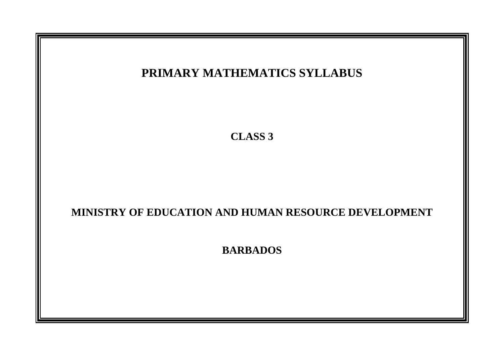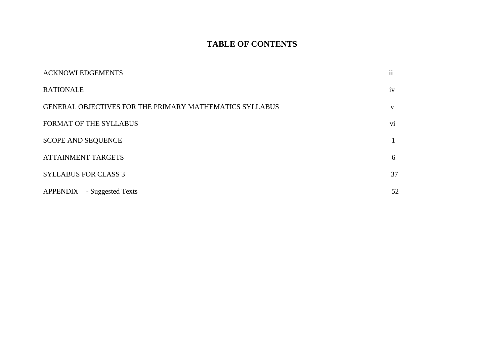# **TABLE OF CONTENTS**

| <b>ACKNOWLEDGEMENTS</b>                                        | $\mathbf{ii}$ |
|----------------------------------------------------------------|---------------|
| <b>RATIONALE</b>                                               | iv            |
| <b>GENERAL OBJECTIVES FOR THE PRIMARY MATHEMATICS SYLLABUS</b> | V             |
| FORMAT OF THE SYLLABUS                                         | vi            |
| <b>SCOPE AND SEQUENCE</b>                                      |               |
| <b>ATTAINMENT TARGETS</b>                                      | 6             |
| <b>SYLLABUS FOR CLASS 3</b>                                    | 37            |
| <b>APPENDIX</b><br>- Suggested Texts                           | 52            |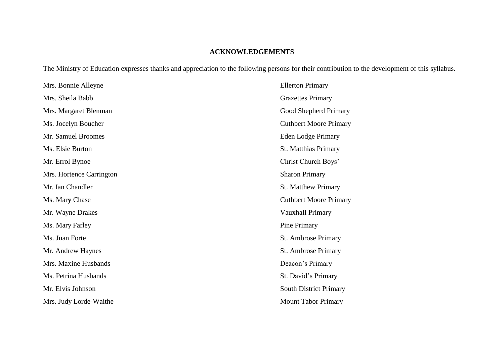# **ACKNOWLEDGEMENTS**

The Ministry of Education expresses thanks and appreciation to the following persons for their contribution to the development of this syllabus.

| Mrs. Bonnie Alleyne      | <b>Ellerton Primary</b>       |
|--------------------------|-------------------------------|
| Mrs. Sheila Babb         | <b>Grazettes Primary</b>      |
| Mrs. Margaret Blenman    | Good Shepherd Primary         |
| Ms. Jocelyn Boucher      | <b>Cuthbert Moore Primary</b> |
| Mr. Samuel Broomes       | Eden Lodge Primary            |
| Ms. Elsie Burton         | <b>St. Matthias Primary</b>   |
| Mr. Errol Bynoe          | Christ Church Boys'           |
| Mrs. Hortence Carrington | <b>Sharon Primary</b>         |
| Mr. Ian Chandler         | <b>St. Matthew Primary</b>    |
| Ms. Mary Chase           | <b>Cuthbert Moore Primary</b> |
| Mr. Wayne Drakes         | Vauxhall Primary              |
| Ms. Mary Farley          | Pine Primary                  |
| Ms. Juan Forte           | St. Ambrose Primary           |
| Mr. Andrew Haynes        | St. Ambrose Primary           |
| Mrs. Maxine Husbands     | Deacon's Primary              |
| Ms. Petrina Husbands     | St. David's Primary           |
| Mr. Elvis Johnson        | <b>South District Primary</b> |
| Mrs. Judy Lorde-Waithe   | <b>Mount Tabor Primary</b>    |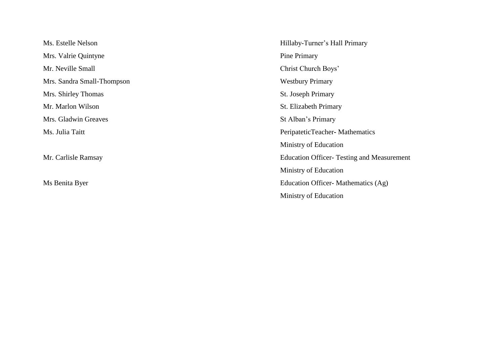Mrs. Valrie Quintyne Pine Primary Mr. Neville Small Christ Church Boys' Mrs. Sandra Small-Thompson Westbury Primary Mrs. Shirley Thomas St. Joseph Primary Mr. Marlon Wilson St. Elizabeth Primary Mrs. Gladwin Greaves St Alban's Primary

Ms. Estelle Nelson Hillaby-Turner's Hall Primary Ms. Julia Taitt PeripateticTeacher**-** Mathematics Ministry of Education Mr. Carlisle Ramsay Education Officer- Testing and Measurement Ministry of Education Ms Benita Byer Education Officer- Mathematics (Ag) Ministry of Education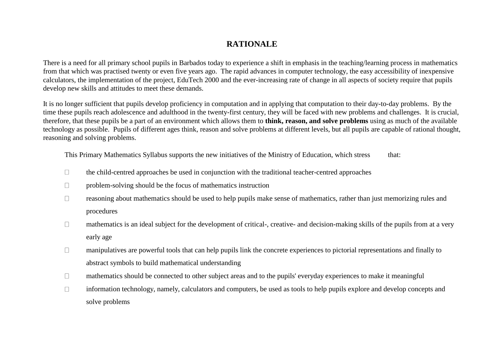# **RATIONALE**

There is a need for all primary school pupils in Barbados today to experience a shift in emphasis in the teaching/learning process in mathematics from that which was practised twenty or even five years ago. The rapid advances in computer technology, the easy accessibility of inexpensive calculators, the implementation of the project, EduTech 2000 and the ever-increasing rate of change in all aspects of society require that pupils develop new skills and attitudes to meet these demands.

It is no longer sufficient that pupils develop proficiency in computation and in applying that computation to their day-to-day problems. By the time these pupils reach adolescence and adulthood in the twenty-first century, they will be faced with new problems and challenges. It is crucial, therefore, that these pupils be a part of an environment which allows them to **think, reason, and solve problems** using as much of the available technology as possible. Pupils of different ages think, reason and solve problems at different levels, but all pupils are capable of rational thought, reasoning and solving problems.

This Primary Mathematics Syllabus supports the new initiatives of the Ministry of Education, which stress that:

- the child-centred approaches be used in conjunction with the traditional teacher-centred approaches  $\Box$
- problem-solving should be the focus of mathematics instruction  $\Box$
- $\Box$ reasoning about mathematics should be used to help pupils make sense of mathematics, rather than just memorizing rules and procedures
- mathematics is an ideal subject for the development of critical-, creative- and decision-making skills of the pupils from at a very  $\Box$ early age
- manipulatives are powerful tools that can help pupils link the concrete experiences to pictorial representations and finally to  $\Box$ abstract symbols to build mathematical understanding
- mathematics should be connected to other subject areas and to the pupils' everyday experiences to make it meaningful  $\Box$
- information technology, namely, calculators and computers, be used as tools to help pupils explore and develop concepts and  $\Box$ solve problems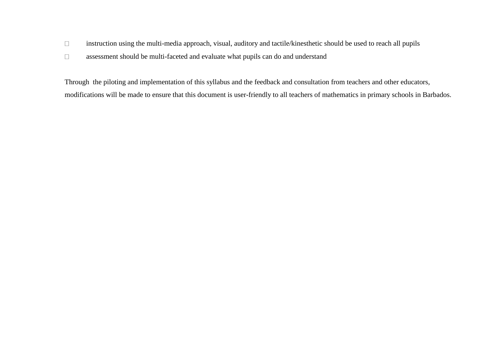- instruction using the multi-media approach, visual, auditory and tactile/kinesthetic should be used to reach all pupils  $\Box$
- $\Box$ assessment should be multi-faceted and evaluate what pupils can do and understand

Through the piloting and implementation of this syllabus and the feedback and consultation from teachers and other educators, modifications will be made to ensure that this document is user-friendly to all teachers of mathematics in primary schools in Barbados.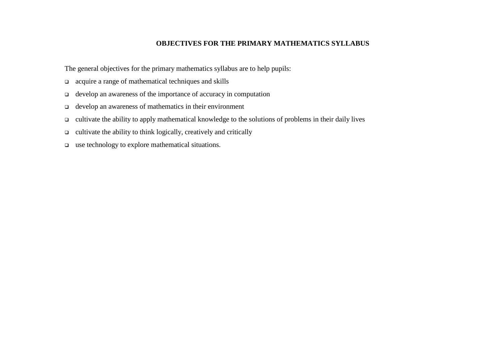### **OBJECTIVES FOR THE PRIMARY MATHEMATICS SYLLABUS**

The general objectives for the primary mathematics syllabus are to help pupils:

- acquire a range of mathematical techniques and skills
- develop an awareness of the importance of accuracy in computation
- $\Box$  develop an awareness of mathematics in their environment
- cultivate the ability to apply mathematical knowledge to the solutions of problems in their daily lives
- $\Box$  cultivate the ability to think logically, creatively and critically
- use technology to explore mathematical situations.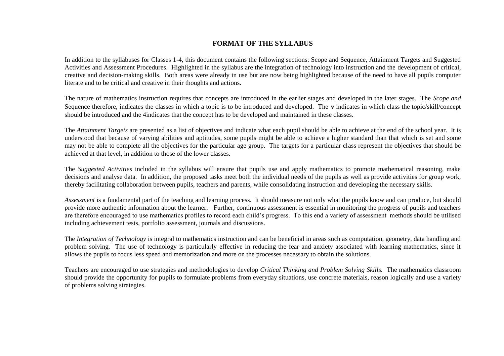#### **FORMAT OF THE SYLLABUS**

In addition to the syllabuses for Classes 1-4, this document contains the following sections: Scope and Sequence, Attainment Targets and Suggested Activities and Assessment Procedures. Highlighted in the syllabus are the integration of technology into instruction and the development of critical, creative and decision-making skills. Both areas were already in use but are now being highlighted because of the need to have all pupils computer literate and to be critical and creative in their thoughts and actions.

The nature of mathematics instruction requires that concepts are introduced in the earlier stages and developed in the later stages. The *Scope and*  Sequence therefore, indicates the classes in which a topic is to be introduced and developed. The  $\nu$  indicates in which class the topic/skill/concept should be introduced and the 4indicates that the concept has to be developed and maintained in these classes.

The *Attainment Targets* are presented as a list of objectives and indicate what each pupil should be able to achieve at the end of the school year. It is understood that because of varying abilities and aptitudes, some pupils might be able to achieve a higher standard than that which is set and some may not be able to complete all the objectives for the particular age group. The targets for a particular class represent the objectives that should be achieved at that level, in addition to those of the lower classes.

The *Suggested Activities* included in the syllabus will ensure that pupils use and apply mathematics to promote mathematical reasoning, make decisions and analyse data. In addition, the proposed tasks meet both the individual needs of the pupils as well as provide activities for group work, thereby facilitating collaboration between pupils, teachers and parents, while consolidating instruction and developing the necessary skills.

*Assessment* is a fundamental part of the teaching and learning process. It should measure not only what the pupils know and can produce, but should provide more authentic information about the learner. Further, continuous assessment is essential in monitoring the progress of pupils and teachers are therefore encouraged to use mathematics profiles to record each child's progress. To this end a variety of assessment methods should be utilised including achievement tests, portfolio assessment, journals and discussions.

The *Integration of Technology* is integral to mathematics instruction and can be beneficial in areas such as computation, geometry, data handling and problem solving. The use of technology is particularly effective in reducing the fear and anxiety associated with learning mathematics, since it allows the pupils to focus less speed and memorization and more on the processes necessary to obtain the solutions.

Teachers are encouraged to use strategies and methodologies to develop *Critical Thinking and Problem Solving Skills.* The mathematics classroom should provide the opportunity for pupils to formulate problems from everyday situations, use concrete materials, reason logically and use a variety of problems solving strategies.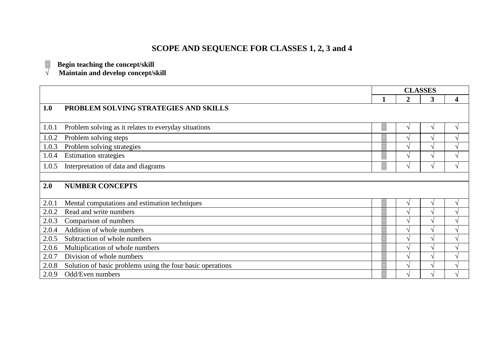# **SCOPE AND SEQUENCE FOR CLASSES 1, 2, 3 and 4**

 $\Box$  Begin teaching the concept/skill

**√ Maintain and develop concept/skill**

|       |                                                            | <b>CLASSES</b> |                |   |                            |
|-------|------------------------------------------------------------|----------------|----------------|---|----------------------------|
|       |                                                            |                | $\overline{2}$ | 3 | 4                          |
| 1.0   | PROBLEM SOLVING STRATEGIES AND SKILLS                      |                |                |   |                            |
|       |                                                            |                |                |   |                            |
| 1.0.1 | Problem solving as it relates to everyday situations       | $\Box$         | V              | V | V                          |
| 1.0.2 | Problem solving steps                                      |                |                | ٦ | ٦                          |
| 1.0.3 | Problem solving strategies                                 |                |                | ٦ | $\boldsymbol{\mathcal{A}}$ |
| 1.0.4 | <b>Estimation strategies</b>                               |                |                | V | V                          |
| 1.0.5 | Interpretation of data and diagrams                        | $\Box$         | V              | V | $\sqrt{}$                  |
|       |                                                            |                |                |   |                            |
| 2.0   | <b>NUMBER CONCEPTS</b>                                     |                |                |   |                            |
|       |                                                            |                |                |   |                            |
| 2.0.1 | Mental computations and estimation techniques              |                |                | ٦ | ٦                          |
| 2.0.2 | Read and write numbers                                     |                |                | ٦ | $\mathcal{L}$              |
| 2.0.3 | Comparison of numbers                                      |                |                | V | ٦                          |
| 2.0.4 | Addition of whole numbers                                  |                |                | ٦ | ٦                          |
| 2.0.5 | Subtraction of whole numbers                               |                |                | ٦ | $\mathcal{L}$              |
| 2.0.6 | Multiplication of whole numbers                            |                | $\mathcal{N}$  | ٦ | $\sqrt{ }$                 |
| 2.0.7 | Division of whole numbers                                  |                |                | ٦ | ٦                          |
| 2.0.8 | Solution of basic problems using the four basic operations |                |                | ٦ |                            |
| 2.0.9 | Odd/Even numbers                                           |                |                |   | $\mathbf \Lambda$          |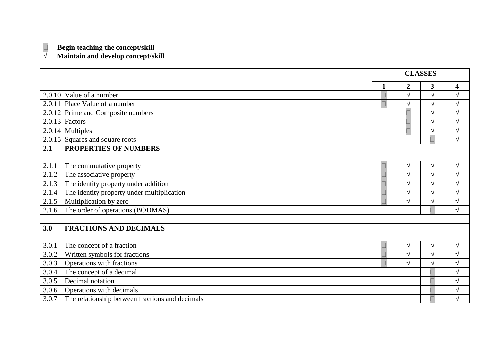## **Begin teaching the concept/skill**

#### **√ Maintain and develop concept/skill**

|                                                          | <b>CLASSES</b> |             |                         |               |
|----------------------------------------------------------|----------------|-------------|-------------------------|---------------|
|                                                          |                | $\mathbf 2$ | $\overline{\mathbf{3}}$ | 4             |
| 2.0.10 Value of a number                                 |                |             | V                       | V             |
| 2.0.11 Place Value of a number                           |                |             | ٦Ι                      | V             |
| 2.0.12 Prime and Composite numbers                       |                |             | N                       | $\sqrt{}$     |
| 2.0.13 Factors                                           |                |             | V                       | $\sqrt{}$     |
| 2.0.14 Multiples                                         |                | $\Box$      | V                       | $\sqrt{}$     |
| 2.0.15 Squares and square roots                          |                |             |                         | $\sqrt{}$     |
| PROPERTIES OF NUMBERS<br>2.1                             |                |             |                         |               |
|                                                          |                |             |                         |               |
| 2.1.1<br>The commutative property                        |                |             | V                       | $\sqrt{}$     |
| The associative property<br>2.1.2                        |                |             |                         | V             |
| The identity property under addition<br>2.1.3            |                |             |                         | $\sqrt{}$     |
| The identity property under multiplication<br>2.1.4      |                |             | ٦                       | $\mathcal{L}$ |
| Multiplication by zero<br>2.1.5                          |                |             |                         | V             |
| The order of operations (BODMAS)<br>2.1.6                |                |             |                         | ٦             |
|                                                          |                |             |                         |               |
| 3.0<br><b>FRACTIONS AND DECIMALS</b>                     |                |             |                         |               |
| 3.0.1<br>The concept of a fraction                       |                |             | V                       | $\sqrt{}$     |
| 3.0.2<br>Written symbols for fractions                   |                |             | اد                      | V             |
| Operations with fractions<br>3.0.3                       |                |             | ٦                       | $\sqrt{}$     |
| The concept of a decimal<br>3.0.4                        |                |             |                         | $\sqrt{}$     |
| Decimal notation<br>3.0.5                                |                |             |                         | $\sqrt{}$     |
| Operations with decimals<br>3.0.6                        |                |             |                         | $\sqrt{}$     |
| The relationship between fractions and decimals<br>3.0.7 |                |             |                         | $\mathcal{L}$ |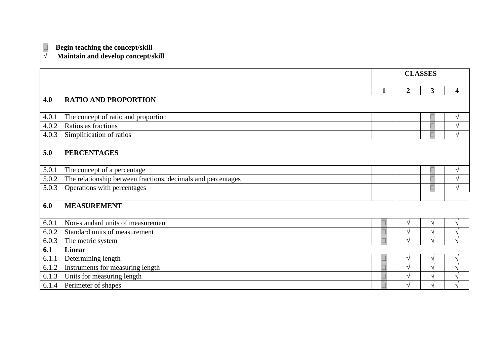### $\Box$  Begin teaching the concept/skill

**√ Maintain and develop concept/skill**

|       |                                                              | <b>CLASSES</b> |                |                         |               |
|-------|--------------------------------------------------------------|----------------|----------------|-------------------------|---------------|
|       |                                                              |                | $\overline{2}$ | $\overline{\mathbf{3}}$ | 4             |
| 4.0   | <b>RATIO AND PROPORTION</b>                                  |                |                |                         |               |
|       |                                                              |                |                |                         |               |
| 4.0.1 | The concept of ratio and proportion                          |                |                |                         | V             |
| 4.0.2 | Ratios as fractions                                          |                |                |                         | ٦             |
| 4.0.3 | Simplification of ratios                                     |                |                | $\Box$                  | V             |
|       |                                                              |                |                |                         |               |
| 5.0   | <b>PERCENTAGES</b>                                           |                |                |                         |               |
|       |                                                              |                |                |                         |               |
| 5.0.1 | The concept of a percentage                                  |                |                |                         | V             |
| 5.0.2 | The relationship between fractions, decimals and percentages |                |                |                         | ٦             |
| 5.0.3 | Operations with percentages                                  |                |                | $\Box$                  | V             |
|       |                                                              |                |                |                         |               |
| 6.0   | <b>MEASUREMENT</b>                                           |                |                |                         |               |
|       |                                                              |                |                |                         |               |
| 6.0.1 | Non-standard units of measurement                            | $\Box$         |                | V                       | $\sqrt{ }$    |
| 6.0.2 | Standard units of measurement                                |                |                | ٦                       | $\sqrt{ }$    |
| 6.0.3 | The metric system                                            |                |                | اد                      | $\sqrt{ }$    |
| 6.1   | <b>Linear</b>                                                |                |                |                         |               |
| 6.1.1 | Determining length                                           | $\Box$         |                | V                       | $\sqrt{ }$    |
| 6.1.2 | Instruments for measuring length                             |                |                | ٦                       | $\sqrt{ }$    |
| 6.1.3 | Units for measuring length                                   |                |                | ٦                       | $\sqrt{ }$    |
| 6.1.4 | Perimeter of shapes                                          |                |                | ٦                       | $\mathcal{N}$ |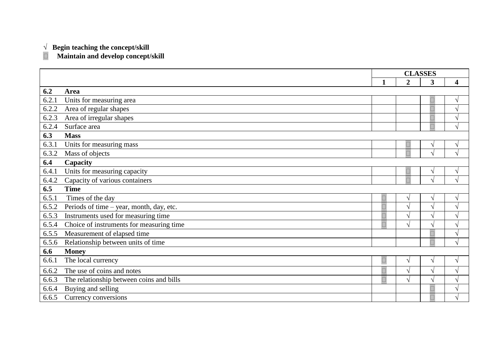#### **√ Begin teaching the concept/skill**

**Maintain and develop concept/skill**

|       |                                          | <b>CLASSES</b> |                  |            |                          |
|-------|------------------------------------------|----------------|------------------|------------|--------------------------|
|       |                                          | $\mathbf 1$    | $\boldsymbol{2}$ | 3          | 4                        |
| 6.2   | Area                                     |                |                  |            |                          |
| 6.2.1 | Units for measuring area                 |                |                  |            | V                        |
| 6.2.2 | Area of regular shapes                   |                |                  | $\Box$     | $\sqrt{}$                |
| 6.2.3 | Area of irregular shapes                 |                |                  |            | $\sqrt{}$                |
| 6.2.4 | Surface area                             |                |                  |            | $\sqrt{ }$               |
| 6.3   | <b>Mass</b>                              |                |                  |            |                          |
| 6.3.1 | Units for measuring mass                 |                | $\Box$           | V          | V                        |
| 6.3.2 | Mass of objects                          |                |                  | À          | $\sqrt{ }$               |
| 6.4   | Capacity                                 |                |                  |            |                          |
| 6.4.1 | Units for measuring capacity             |                | Ш                | ٦          | ٦                        |
| 6.4.2 | Capacity of various containers           |                | $\Box$           | ٦          | $\sqrt{}$                |
| 6.5   | <b>Time</b>                              |                |                  |            |                          |
| 6.5.1 | Times of the day                         | L              |                  | V          | V                        |
| 6.5.2 | Periods of time - year, month, day, etc. |                |                  | $\sqrt{2}$ | $\overline{\mathcal{L}}$ |
| 6.5.3 | Instruments used for measuring time      |                |                  | ٦          | $\mathcal{L}$            |
| 6.5.4 | Choice of instruments for measuring time | Ē              | V                | V          | $\sqrt{}$                |
| 6.5.5 | Measurement of elapsed time              |                |                  |            | $\sqrt{}$                |
| 6.5.6 | Relationship between units of time       |                |                  | $\Box$     | $\sqrt{ }$               |
| 6.6   | <b>Money</b>                             |                |                  |            |                          |
| 6.6.1 | The local currency                       | $\Box$         |                  | V          | $\sqrt{}$                |
| 6.6.2 | The use of coins and notes               |                |                  | V          | $\sqrt{}$                |
| 6.6.3 | The relationship between coins and bills |                | V                | Ń          | $\sqrt{}$                |
| 6.6.4 | Buying and selling                       |                |                  |            | $\sqrt{}$                |
| 6.6.5 | Currency conversions                     |                |                  | $\Box$     | $\sqrt{}$                |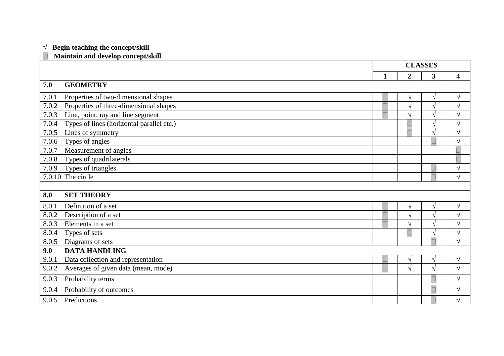#### **√ Begin teaching the concept/skill**

#### **Maintain and develop concept/skill**

|       |                                           | <b>CLASSES</b> |                |            |                         |
|-------|-------------------------------------------|----------------|----------------|------------|-------------------------|
|       |                                           | 1              | $\overline{2}$ | 3          | $\overline{\mathbf{4}}$ |
| 7.0   | <b>GEOMETRY</b>                           |                |                |            |                         |
| 7.0.1 | Properties of two-dimensional shapes      |                | V              | $\sqrt{}$  | V                       |
| 7.0.2 | Properties of three-dimensional shapes    |                | N              | $\sqrt{ }$ | $\sqrt{ }$              |
| 7.0.3 | Line, point, ray and line segment         |                |                | $\sqrt{ }$ | $\sqrt{ }$              |
| 7.0.4 | Types of lines (horizontal parallel etc.) |                | $\Box$         | $\sqrt{ }$ | V                       |
| 7.0.5 | Lines of symmetry                         |                | $\Box$         | $\sqrt{ }$ | $\sqrt{ }$              |
| 7.0.6 | Types of angles                           |                |                | $\Box$     | $\sqrt{ }$              |
| 7.0.7 | Measurement of angles                     |                |                |            | $\Box$                  |
| 7.0.8 | Types of quadrilaterals                   |                |                |            | $\Box$                  |
| 7.0.9 | Types of triangles                        |                |                | $\Box$     | $\sqrt{ }$              |
|       | 7.0.10 The circle                         |                |                | $\Box$     | $\sqrt{ }$              |
|       |                                           |                |                |            |                         |
| 8.0   | <b>SET THEORY</b>                         |                |                |            |                         |
| 8.0.1 | Definition of a set                       |                | V              | $\sqrt{ }$ | $\sqrt{ }$              |
| 8.0.2 | Description of a set                      |                | ٦              | $\sqrt{ }$ | V                       |
| 8.0.3 | Elements in a set                         |                | $\sqrt{ }$     | $\sqrt{ }$ | $\sqrt{ }$              |
| 8.0.4 | Types of sets                             |                | $\Box$         | $\sqrt{}$  | $\sqrt{ }$              |
| 8.0.5 | Diagrams of sets                          |                |                | $\Box$     | V                       |
| 9.0   | <b>DATA HANDLING</b>                      |                |                |            |                         |
| 9.0.1 | Data collection and representation        |                | ٦l             | $\sqrt{ }$ | $\sqrt{ }$              |
| 9.0.2 | Averages of given data (mean, mode)       | $\Box$         | $\sqrt{}$      | $\sqrt{ }$ | $\sqrt{ }$              |
| 9.0.3 | Probability terms                         |                |                | $\Box$     | $\sqrt{ }$              |
| 9.0.4 | Probability of outcomes                   |                |                | $\Box$     | $\sqrt{ }$              |
| 9.0.5 | Predictions                               |                |                | $\Box$     |                         |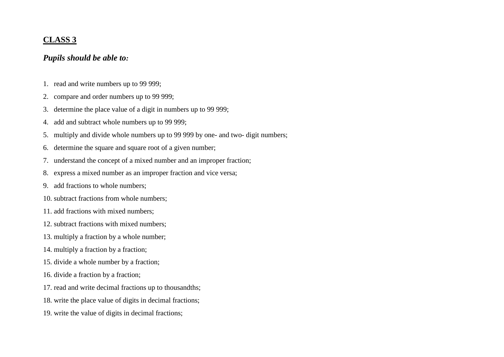# **CLASS 3**

## *Pupils should be able to:*

- 1. read and write numbers up to 99 999;
- 2. compare and order numbers up to 99 999;
- 3. determine the place value of a digit in numbers up to 99 999;
- 4. add and subtract whole numbers up to 99 999;
- 5. multiply and divide whole numbers up to 99 999 by one- and two- digit numbers;
- 6. determine the square and square root of a given number;
- 7. understand the concept of a mixed number and an improper fraction;
- 8. express a mixed number as an improper fraction and vice versa;
- 9. add fractions to whole numbers;
- 10. subtract fractions from whole numbers;
- 11. add fractions with mixed numbers;
- 12. subtract fractions with mixed numbers;
- 13. multiply a fraction by a whole number;
- 14. multiply a fraction by a fraction;
- 15. divide a whole number by a fraction;
- 16. divide a fraction by a fraction;
- 17. read and write decimal fractions up to thousandths;
- 18. write the place value of digits in decimal fractions;
- 19. write the value of digits in decimal fractions;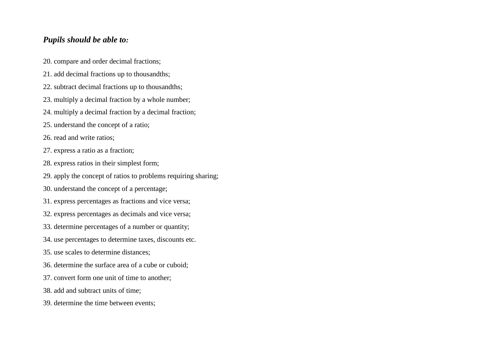## *Pupils should be able to:*

- 20. compare and order decimal fractions;
- 21. add decimal fractions up to thousandths;
- 22. subtract decimal fractions up to thousandths;
- 23. multiply a decimal fraction by a whole number;
- 24. multiply a decimal fraction by a decimal fraction;
- 25. understand the concept of a ratio;
- 26. read and write ratios;
- 27. express a ratio as a fraction;
- 28. express ratios in their simplest form;
- 29. apply the concept of ratios to problems requiring sharing;
- 30. understand the concept of a percentage;
- 31. express percentages as fractions and vice versa;
- 32. express percentages as decimals and vice versa;
- 33. determine percentages of a number or quantity;
- 34. use percentages to determine taxes, discounts etc.
- 35. use scales to determine distances;
- 36. determine the surface area of a cube or cuboid;
- 37. convert form one unit of time to another;
- 38. add and subtract units of time;
- 39. determine the time between events;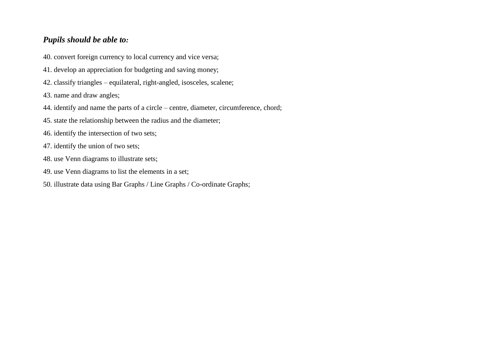# *Pupils should be able to:*

40. convert foreign currency to local currency and vice versa;

- 41. develop an appreciation for budgeting and saving money;
- 42. classify triangles equilateral, right-angled, isosceles, scalene;
- 43. name and draw angles;
- 44. identify and name the parts of a circle centre, diameter, circumference, chord;
- 45. state the relationship between the radius and the diameter;
- 46. identify the intersection of two sets;
- 47. identify the union of two sets;
- 48. use Venn diagrams to illustrate sets;
- 49. use Venn diagrams to list the elements in a set;
- 50. illustrate data using Bar Graphs / Line Graphs / Co-ordinate Graphs;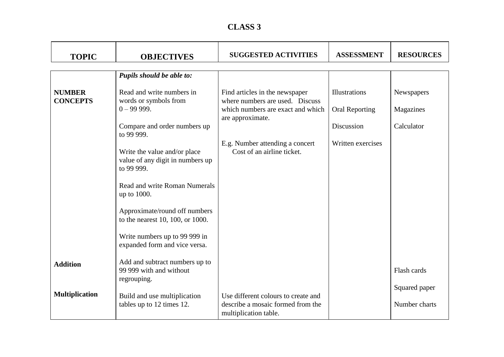| <b>CLASS 3</b> |  |
|----------------|--|
|----------------|--|

| <b>TOPIC</b>                     | <b>OBJECTIVES</b>                                                              | <b>SUGGESTED ACTIVITIES</b>                                                                            | <b>ASSESSMENT</b>                             | <b>RESOURCES</b>               |
|----------------------------------|--------------------------------------------------------------------------------|--------------------------------------------------------------------------------------------------------|-----------------------------------------------|--------------------------------|
|                                  | Pupils should be able to:                                                      |                                                                                                        |                                               |                                |
| <b>NUMBER</b><br><b>CONCEPTS</b> | Read and write numbers in<br>words or symbols from<br>$0 - 99999$ .            | Find articles in the newspaper<br>where numbers are used. Discuss<br>which numbers are exact and which | <b>Illustrations</b><br><b>Oral Reporting</b> | Newspapers<br>Magazines        |
|                                  | Compare and order numbers up<br>to 99 999.                                     | are approximate.                                                                                       | Discussion                                    | Calculator                     |
|                                  | Write the value and/or place<br>value of any digit in numbers up<br>to 99 999. | E.g. Number attending a concert<br>Cost of an airline ticket.                                          | Written exercises                             |                                |
|                                  | <b>Read and write Roman Numerals</b><br>up to 1000.                            |                                                                                                        |                                               |                                |
|                                  | Approximate/round off numbers<br>to the nearest 10, 100, or 1000.              |                                                                                                        |                                               |                                |
|                                  | Write numbers up to 99 999 in<br>expanded form and vice versa.                 |                                                                                                        |                                               |                                |
| <b>Addition</b>                  | Add and subtract numbers up to<br>99 999 with and without<br>regrouping.       |                                                                                                        |                                               | Flash cards                    |
| <b>Multiplication</b>            | Build and use multiplication<br>tables up to 12 times 12.                      | Use different colours to create and<br>describe a mosaic formed from the<br>multiplication table.      |                                               | Squared paper<br>Number charts |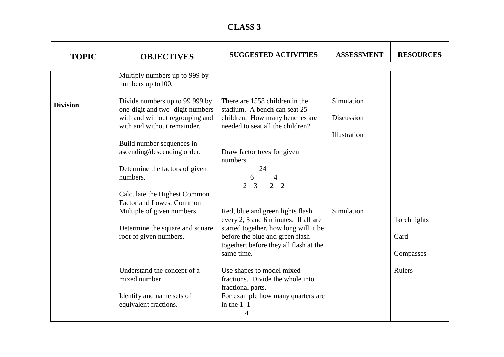| <b>CLASS 3</b> |  |
|----------------|--|
|----------------|--|

| <b>TOPIC</b>    | <b>OBJECTIVES</b>                                                                             | <b>SUGGESTED ACTIVITIES</b>                                                        | <b>ASSESSMENT</b> | <b>RESOURCES</b> |
|-----------------|-----------------------------------------------------------------------------------------------|------------------------------------------------------------------------------------|-------------------|------------------|
|                 | Multiply numbers up to 999 by<br>numbers up to 100.                                           |                                                                                    |                   |                  |
| <b>Division</b> | Divide numbers up to 99 999 by<br>one-digit and two-digit numbers                             | There are 1558 children in the<br>stadium. A bench can seat 25                     | Simulation        |                  |
|                 | with and without regrouping and<br>with and without remainder.                                | children. How many benches are<br>needed to seat all the children?                 | Discussion        |                  |
|                 | Build number sequences in<br>ascending/descending order.                                      | Draw factor trees for given                                                        | Illustration      |                  |
|                 | Determine the factors of given                                                                | numbers.<br>24                                                                     |                   |                  |
|                 | numbers.                                                                                      | 6<br>$\overline{2}$<br>$\overline{2}$<br>$\overline{3}$<br>$\overline{2}$          |                   |                  |
|                 | Calculate the Highest Common<br><b>Factor and Lowest Common</b><br>Multiple of given numbers. | Red, blue and green lights flash                                                   | Simulation        |                  |
|                 | Determine the square and square                                                               | every 2, 5 and 6 minutes. If all are<br>started together, how long will it be      |                   | Torch lights     |
|                 | root of given numbers.                                                                        | before the blue and green flash<br>together; before they all flash at the          |                   | Card             |
|                 |                                                                                               | same time.                                                                         |                   | Compasses        |
|                 | Understand the concept of a<br>mixed number                                                   | Use shapes to model mixed<br>fractions. Divide the whole into<br>fractional parts. |                   | Rulers           |
|                 | Identify and name sets of<br>equivalent fractions.                                            | For example how many quarters are<br>in the $1\underline{1}$                       |                   |                  |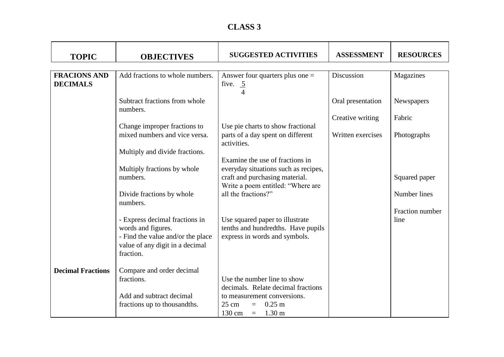| <b>CLASS 3</b> |  |
|----------------|--|
|----------------|--|

| <b>TOPIC</b>                           | <b>OBJECTIVES</b>                                                                                                                         | <b>SUGGESTED ACTIVITIES</b>                                                                                         | <b>ASSESSMENT</b> | <b>RESOURCES</b>        |
|----------------------------------------|-------------------------------------------------------------------------------------------------------------------------------------------|---------------------------------------------------------------------------------------------------------------------|-------------------|-------------------------|
| <b>FRACIONS AND</b><br><b>DECIMALS</b> | Add fractions to whole numbers.                                                                                                           | Answer four quarters plus one $=$<br>five. $\overline{5}$<br>$\overline{4}$                                         | Discussion        | Magazines               |
|                                        | Subtract fractions from whole<br>numbers.                                                                                                 |                                                                                                                     | Oral presentation | Newspapers              |
|                                        | Change improper fractions to                                                                                                              | Use pie charts to show fractional                                                                                   | Creative writing  | Fabric                  |
|                                        | mixed numbers and vice versa.                                                                                                             | parts of a day spent on different<br>activities.                                                                    | Written exercises | Photographs             |
|                                        | Multiply and divide fractions.<br>Multiply fractions by whole                                                                             | Examine the use of fractions in<br>everyday situations such as recipes,                                             |                   |                         |
|                                        | numbers.                                                                                                                                  | craft and purchasing material.<br>Write a poem entitled: "Where are                                                 |                   | Squared paper           |
|                                        | Divide fractions by whole<br>numbers.                                                                                                     | all the fractions?"                                                                                                 |                   | Number lines            |
|                                        | - Express decimal fractions in<br>words and figures.<br>- Find the value and/or the place<br>value of any digit in a decimal<br>fraction. | Use squared paper to illustrate<br>tenths and hundredths. Have pupils<br>express in words and symbols.              |                   | Fraction number<br>line |
| <b>Decimal Fractions</b>               | Compare and order decimal<br>fractions.                                                                                                   | Use the number line to show<br>decimals. Relate decimal fractions                                                   |                   |                         |
|                                        | Add and subtract decimal<br>fractions up to thousandths.                                                                                  | to measurement conversions.<br>$0.25 \text{ m}$<br>$25 \text{ cm}$<br>$\equiv$<br>130 cm<br>$1.30 \text{ m}$<br>$=$ |                   |                         |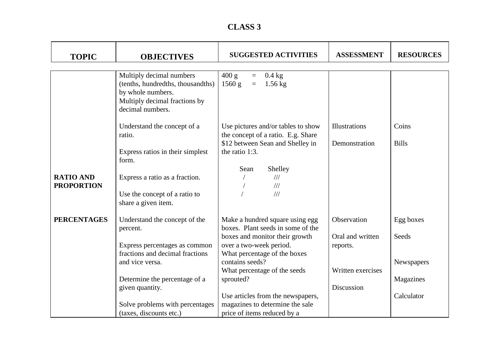| <b>CLASS 3</b> |  |
|----------------|--|
|----------------|--|

| <b>TOPIC</b>                          | <b>OBJECTIVES</b>                                                                                                                       | <b>SUGGESTED ACTIVITIES</b>                                                                                                    | <b>ASSESSMENT</b>            | <b>RESOURCES</b>        |
|---------------------------------------|-----------------------------------------------------------------------------------------------------------------------------------------|--------------------------------------------------------------------------------------------------------------------------------|------------------------------|-------------------------|
|                                       | Multiply decimal numbers<br>(tenths, hundredths, thousandths)<br>by whole numbers.<br>Multiply decimal fractions by<br>decimal numbers. | 400 g<br>$0.4$ kg<br>$\equiv$<br>1560 g<br>$1.56$ kg<br>$\equiv$                                                               |                              |                         |
|                                       | Understand the concept of a                                                                                                             | Use pictures and/or tables to show                                                                                             | Illustrations                | Coins                   |
|                                       | ratio.<br>Express ratios in their simplest<br>form.                                                                                     | the concept of a ratio. E.g. Share<br>\$12 between Sean and Shelley in<br>the ratio 1:3.<br>Sean<br>Shelley                    | Demonstration                | <b>Bills</b>            |
| <b>RATIO AND</b><br><b>PROPORTION</b> | Express a ratio as a fraction.<br>Use the concept of a ratio to<br>share a given item.                                                  | 111<br>111<br>$\frac{1}{1}$                                                                                                    |                              |                         |
| <b>PERCENTAGES</b>                    | Understand the concept of the                                                                                                           | Make a hundred square using egg                                                                                                | Observation                  | Egg boxes               |
|                                       | percent.<br>Express percentages as common<br>fractions and decimal fractions                                                            | boxes. Plant seeds in some of the<br>boxes and monitor their growth<br>over a two-week period.<br>What percentage of the boxes | Oral and written<br>reports. | Seeds                   |
|                                       | and vice versa.                                                                                                                         | contains seeds?<br>What percentage of the seeds                                                                                | Written exercises            | Newspapers              |
|                                       | Determine the percentage of a<br>given quantity.                                                                                        | sprouted?<br>Use articles from the newspapers,                                                                                 | Discussion                   | Magazines<br>Calculator |
|                                       | Solve problems with percentages<br>(taxes, discounts etc.)                                                                              | magazines to determine the sale<br>price of items reduced by a                                                                 |                              |                         |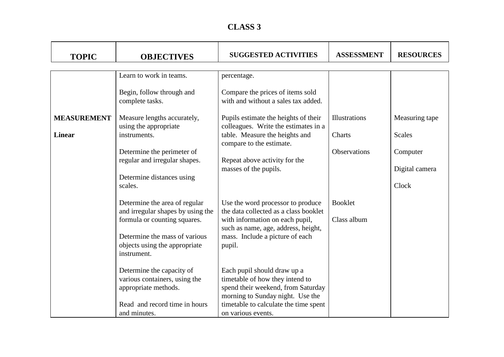| <b>CLASS 3</b> |  |
|----------------|--|
|----------------|--|

| <b>TOPIC</b>       | <b>OBJECTIVES</b>                                                             | <b>SUGGESTED ACTIVITIES</b>                                                  | <b>ASSESSMENT</b>    | <b>RESOURCES</b> |
|--------------------|-------------------------------------------------------------------------------|------------------------------------------------------------------------------|----------------------|------------------|
|                    | Learn to work in teams.                                                       | percentage.                                                                  |                      |                  |
|                    | Begin, follow through and<br>complete tasks.                                  | Compare the prices of items sold<br>with and without a sales tax added.      |                      |                  |
| <b>MEASUREMENT</b> | Measure lengths accurately,<br>using the appropriate                          | Pupils estimate the heights of their<br>colleagues. Write the estimates in a | <b>Illustrations</b> | Measuring tape   |
| <b>Linear</b>      | instruments.                                                                  | table. Measure the heights and<br>compare to the estimate.                   | Charts               | <b>Scales</b>    |
|                    | Determine the perimeter of                                                    |                                                                              | <b>Observations</b>  | Computer         |
|                    | regular and irregular shapes.                                                 | Repeat above activity for the<br>masses of the pupils.                       |                      | Digital camera   |
|                    | Determine distances using<br>scales.                                          |                                                                              |                      | Clock            |
|                    | Determine the area of regular<br>and irregular shapes by using the            | Use the word processor to produce<br>the data collected as a class booklet   | <b>Booklet</b>       |                  |
|                    | formula or counting squares.                                                  | with information on each pupil,<br>such as name, age, address, height,       | Class album          |                  |
|                    | Determine the mass of various<br>objects using the appropriate<br>instrument. | mass. Include a picture of each<br>pupil.                                    |                      |                  |
|                    | Determine the capacity of<br>various containers, using the                    | Each pupil should draw up a<br>timetable of how they intend to               |                      |                  |
|                    | appropriate methods.                                                          | spend their weekend, from Saturday<br>morning to Sunday night. Use the       |                      |                  |
|                    | Read and record time in hours<br>and minutes.                                 | timetable to calculate the time spent<br>on various events.                  |                      |                  |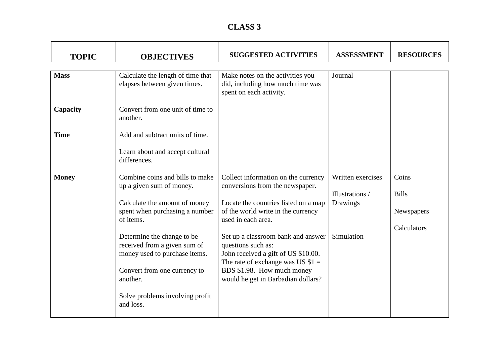| <b>TOPIC</b> | <b>OBJECTIVES</b>                                                 | <b>SUGGESTED ACTIVITIES</b>                                                                     | <b>ASSESSMENT</b> | <b>RESOURCES</b> |
|--------------|-------------------------------------------------------------------|-------------------------------------------------------------------------------------------------|-------------------|------------------|
|              |                                                                   |                                                                                                 |                   |                  |
| <b>Mass</b>  | Calculate the length of time that<br>elapses between given times. | Make notes on the activities you<br>did, including how much time was<br>spent on each activity. | Journal           |                  |
| Capacity     | Convert from one unit of time to<br>another.                      |                                                                                                 |                   |                  |
| <b>Time</b>  | Add and subtract units of time.                                   |                                                                                                 |                   |                  |
|              | Learn about and accept cultural<br>differences.                   |                                                                                                 |                   |                  |
| <b>Money</b> | Combine coins and bills to make<br>up a given sum of money.       | Collect information on the currency<br>conversions from the newspaper.                          | Written exercises | Coins            |
|              |                                                                   |                                                                                                 | Illustrations /   | <b>Bills</b>     |
|              | Calculate the amount of money<br>spent when purchasing a number   | Locate the countries listed on a map<br>of the world write in the currency                      | Drawings          | Newspapers       |
|              | of items.                                                         | used in each area.                                                                              |                   |                  |
|              |                                                                   |                                                                                                 |                   | Calculators      |
|              | Determine the change to be.<br>received from a given sum of       | Set up a classroom bank and answer<br>questions such as:                                        | Simulation        |                  |
|              | money used to purchase items.                                     | John received a gift of US \$10.00.<br>The rate of exchange was US $$1 =$                       |                   |                  |
|              | Convert from one currency to<br>another.                          | BDS \$1.98. How much money<br>would he get in Barbadian dollars?                                |                   |                  |
|              | Solve problems involving profit<br>and loss.                      |                                                                                                 |                   |                  |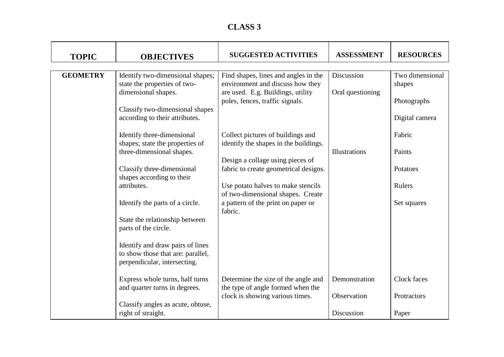| <b>TOPIC</b>    | <b>OBJECTIVES</b>                                                                                     | <b>SUGGESTED ACTIVITIES</b>                                                                                                                      | <b>ASSESSMENT</b>              | <b>RESOURCES</b>                         |
|-----------------|-------------------------------------------------------------------------------------------------------|--------------------------------------------------------------------------------------------------------------------------------------------------|--------------------------------|------------------------------------------|
| <b>GEOMETRY</b> | Identify two-dimensional shapes;<br>state the properties of two-<br>dimensional shapes.               | Find shapes, lines and angles in the<br>environment and discuss how they<br>are used. E.g. Buildings, utility<br>poles, fences, traffic signals. | Discussion<br>Oral questioning | Two dimensional<br>shapes<br>Photographs |
|                 | Classify two-dimensional shapes<br>according to their attributes.                                     |                                                                                                                                                  |                                | Digital camera                           |
|                 | Identify three-dimensional<br>shapes; state the properties of                                         | Collect pictures of buildings and<br>identify the shapes in the buildings.                                                                       |                                | Fabric                                   |
|                 | three-dimensional shapes.<br>Classify three-dimensional                                               | Design a collage using pieces of<br>fabric to create geometrical designs.                                                                        | Illustrations                  | Paints<br>Potatoes                       |
|                 | shapes according to their<br>attributes.                                                              | Use potato halves to make stencils                                                                                                               |                                | Rulers                                   |
|                 | Identify the parts of a circle.                                                                       | of two-dimensional shapes. Create<br>a pattern of the print on paper or<br>fabric.                                                               |                                | Set squares                              |
|                 | State the relationship between<br>parts of the circle.                                                |                                                                                                                                                  |                                |                                          |
|                 | Identify and draw pairs of lines<br>to show those that are: parallel,<br>perpendicular, intersecting. |                                                                                                                                                  |                                |                                          |
|                 | Express whole turns, half turns<br>and quarter turns in degrees.                                      | Determine the size of the angle and<br>the type of angle formed when the                                                                         | Demonstration                  | Clock faces                              |
|                 | Classify angles as acute, obtuse,<br>right of straight.                                               | clock is showing various times.                                                                                                                  | Observation<br>Discussion      | Protractors<br>Paper                     |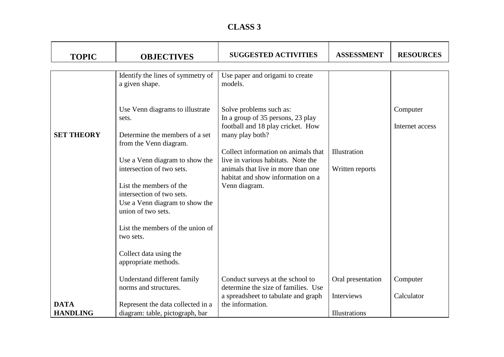| <b>CLASS 3</b> |  |
|----------------|--|
|----------------|--|

| <b>TOPIC</b>      | <b>OBJECTIVES</b>                                                                                                                                                                                                                                      | <b>SUGGESTED ACTIVITIES</b>                                                                                                                                           | <b>ASSESSMENT</b>               | <b>RESOURCES</b>            |
|-------------------|--------------------------------------------------------------------------------------------------------------------------------------------------------------------------------------------------------------------------------------------------------|-----------------------------------------------------------------------------------------------------------------------------------------------------------------------|---------------------------------|-----------------------------|
|                   |                                                                                                                                                                                                                                                        |                                                                                                                                                                       |                                 |                             |
|                   | Identify the lines of symmetry of<br>a given shape.                                                                                                                                                                                                    | Use paper and origami to create<br>models.                                                                                                                            |                                 |                             |
| <b>SET THEORY</b> | Use Venn diagrams to illustrate<br>sets.<br>Determine the members of a set                                                                                                                                                                             | Solve problems such as:<br>In a group of 35 persons, 23 play<br>football and 18 play cricket. How<br>many play both?                                                  |                                 | Computer<br>Internet access |
|                   | from the Venn diagram.<br>Use a Venn diagram to show the<br>intersection of two sets.<br>List the members of the<br>intersection of two sets.<br>Use a Venn diagram to show the<br>union of two sets.<br>List the members of the union of<br>two sets. | Collect information on animals that<br>live in various habitats. Note the<br>animals that live in more than one<br>habitat and show information on a<br>Venn diagram. | Illustration<br>Written reports |                             |
|                   | Collect data using the<br>appropriate methods.                                                                                                                                                                                                         |                                                                                                                                                                       |                                 |                             |
|                   | Understand different family<br>norms and structures.                                                                                                                                                                                                   | Conduct surveys at the school to<br>determine the size of families. Use                                                                                               | Oral presentation               | Computer                    |
|                   |                                                                                                                                                                                                                                                        | a spreadsheet to tabulate and graph                                                                                                                                   | Interviews                      | Calculator                  |
| <b>DATA</b>       | Represent the data collected in a                                                                                                                                                                                                                      | the information.                                                                                                                                                      |                                 |                             |
| <b>HANDLING</b>   | diagram: table, pictograph, bar                                                                                                                                                                                                                        |                                                                                                                                                                       | Illustrations                   |                             |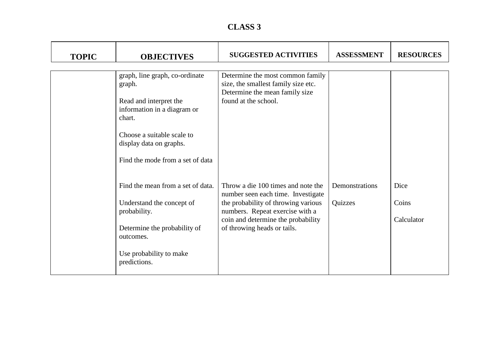| <b>CLASS 3</b> |  |
|----------------|--|
|----------------|--|

| <b>TOPIC</b> | <b>OBJECTIVES</b>                                                                                                                                                                                        | <b>SUGGESTED ACTIVITIES</b>                                                                                                                                                                                             | <b>ASSESSMENT</b>         | <b>RESOURCES</b>            |
|--------------|----------------------------------------------------------------------------------------------------------------------------------------------------------------------------------------------------------|-------------------------------------------------------------------------------------------------------------------------------------------------------------------------------------------------------------------------|---------------------------|-----------------------------|
|              | graph, line graph, co-ordinate<br>graph.<br>Read and interpret the<br>information in a diagram or<br>chart.<br>Choose a suitable scale to<br>display data on graphs.<br>Find the mode from a set of data | Determine the most common family<br>size, the smallest family size etc.<br>Determine the mean family size<br>found at the school.                                                                                       |                           |                             |
|              | Find the mean from a set of data.<br>Understand the concept of<br>probability.<br>Determine the probability of<br>outcomes.<br>Use probability to make<br>predictions.                                   | Throw a die 100 times and note the<br>number seen each time. Investigate<br>the probability of throwing various<br>numbers. Repeat exercise with a<br>coin and determine the probability<br>of throwing heads or tails. | Demonstrations<br>Quizzes | Dice<br>Coins<br>Calculator |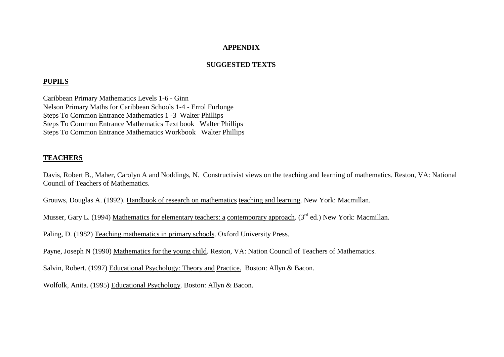#### **APPENDIX**

#### **SUGGESTED TEXTS**

#### **PUPILS**

Caribbean Primary Mathematics Levels 1-6 - Ginn Nelson Primary Maths for Caribbean Schools 1-4 - Errol Furlonge Steps To Common Entrance Mathematics 1 -3 Walter Phillips Steps To Common Entrance Mathematics Text book Walter Phillips Steps To Common Entrance Mathematics Workbook Walter Phillips

#### **TEACHERS**

Davis, Robert B., Maher, Carolyn A and Noddings, N. Constructivist views on the teaching and learning of mathematics. Reston, VA: National Council of Teachers of Mathematics.

Grouws, Douglas A. (1992). Handbook of research on mathematics teaching and learning. New York: Macmillan.

Musser, Gary L. (1994) Mathematics for elementary teachers: a contemporary approach. (3<sup>rd</sup> ed.) New York: Macmillan.

Paling, D. (1982) Teaching mathematics in primary schools. Oxford University Press.

Payne, Joseph N (1990) Mathematics for the young child. Reston, VA: Nation Council of Teachers of Mathematics.

Salvin, Robert. (1997) Educational Psychology: Theory and Practice. Boston: Allyn & Bacon.

Wolfolk, Anita. (1995) Educational Psychology. Boston: Allyn & Bacon.